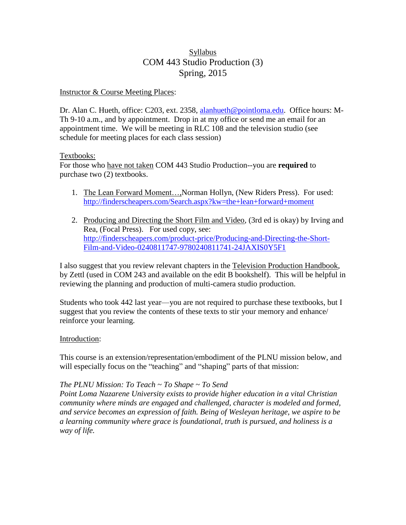# Syllabus COM 443 Studio Production (3) Spring, 2015

#### Instructor & Course Meeting Places:

Dr. Alan C. Hueth, office: C203, ext. 2358, [alanhueth@pointloma.edu.](mailto:alanhueth@pointloma.edu) Office hours: M-Th 9-10 a.m., and by appointment. Drop in at my office or send me an email for an appointment time. We will be meeting in RLC 108 and the television studio (see schedule for meeting places for each class session)

#### Textbooks:

For those who have not taken COM 443 Studio Production--you are **required** to purchase two (2) textbooks.

- 1. The Lean Forward Moment..., Norman Hollyn, (New Riders Press). For used: <http://finderscheapers.com/Search.aspx?kw=the+lean+forward+moment>
- 2. Producing and Directing the Short Film and Video, (3rd ed is okay) by Irving and Rea, (Focal Press). For used copy, see: [http://finderscheapers.com/product-price/Producing-and-Directing-the-Short-](http://finderscheapers.com/product-price/Producing-and-Directing-the-Short-Film-and-Video-0240811747-9780240811741-24JAXIS0Y5F1)[Film-and-Video-0240811747-9780240811741-24JAXIS0Y5F1](http://finderscheapers.com/product-price/Producing-and-Directing-the-Short-Film-and-Video-0240811747-9780240811741-24JAXIS0Y5F1)

I also suggest that you review relevant chapters in the Television Production Handbook, by Zettl (used in COM 243 and available on the edit B bookshelf). This will be helpful in reviewing the planning and production of multi-camera studio production.

Students who took 442 last year—you are not required to purchase these textbooks, but I suggest that you review the contents of these texts to stir your memory and enhance/ reinforce your learning.

#### Introduction:

This course is an extension/representation/embodiment of the PLNU mission below, and will especially focus on the "teaching" and "shaping" parts of that mission:

#### *The PLNU Mission: To Teach ~ To Shape ~ To Send*

*Point Loma Nazarene University exists to provide higher education in a vital Christian community where minds are engaged and challenged, character is modeled and formed, and service becomes an expression of faith. Being of Wesleyan heritage, we aspire to be a learning community where grace is foundational, truth is pursued, and holiness is a way of life.*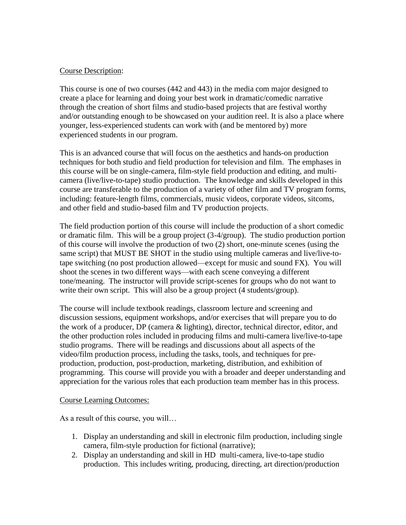#### Course Description:

This course is one of two courses (442 and 443) in the media com major designed to create a place for learning and doing your best work in dramatic/comedic narrative through the creation of short films and studio-based projects that are festival worthy and/or outstanding enough to be showcased on your audition reel. It is also a place where younger, less-experienced students can work with (and be mentored by) more experienced students in our program.

This is an advanced course that will focus on the aesthetics and hands-on production techniques for both studio and field production for television and film. The emphases in this course will be on single-camera, film-style field production and editing, and multicamera (live/live-to-tape) studio production. The knowledge and skills developed in this course are transferable to the production of a variety of other film and TV program forms, including: feature-length films, commercials, music videos, corporate videos, sitcoms, and other field and studio-based film and TV production projects.

The field production portion of this course will include the production of a short comedic or dramatic film. This will be a group project (3-4/group). The studio production portion of this course will involve the production of two (2) short, one-minute scenes (using the same script) that MUST BE SHOT in the studio using multiple cameras and live/live-totape switching (no post production allowed—except for music and sound FX). You will shoot the scenes in two different ways—with each scene conveying a different tone/meaning. The instructor will provide script-scenes for groups who do not want to write their own script. This will also be a group project (4 students/group).

The course will include textbook readings, classroom lecture and screening and discussion sessions, equipment workshops, and/or exercises that will prepare you to do the work of a producer, DP (camera & lighting), director, technical director, editor, and the other production roles included in producing films and multi-camera live/live-to-tape studio programs. There will be readings and discussions about all aspects of the video/film production process, including the tasks, tools, and techniques for preproduction, production, post-production, marketing, distribution, and exhibition of programming. This course will provide you with a broader and deeper understanding and appreciation for the various roles that each production team member has in this process.

#### Course Learning Outcomes:

As a result of this course, you will…

- 1. Display an understanding and skill in electronic film production, including single camera, film-style production for fictional (narrative);
- 2. Display an understanding and skill in HD multi-camera, live-to-tape studio production. This includes writing, producing, directing, art direction/production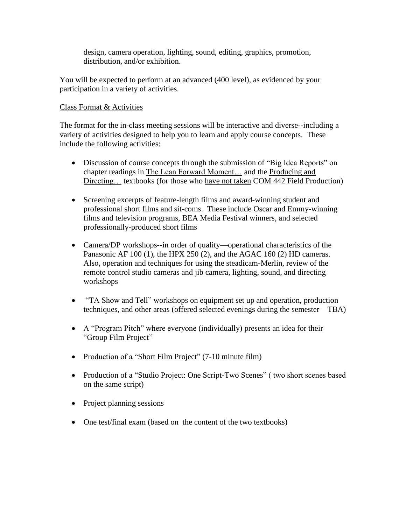design, camera operation, lighting, sound, editing, graphics, promotion, distribution, and/or exhibition.

You will be expected to perform at an advanced (400 level), as evidenced by your participation in a variety of activities.

# Class Format & Activities

The format for the in-class meeting sessions will be interactive and diverse--including a variety of activities designed to help you to learn and apply course concepts. These include the following activities:

- Discussion of course concepts through the submission of "Big Idea Reports" on chapter readings in The Lean Forward Moment… and the Producing and Directing... textbooks (for those who have not taken COM 442 Field Production)
- Screening excerpts of feature-length films and award-winning student and professional short films and sit-coms. These include Oscar and Emmy-winning films and television programs, BEA Media Festival winners, and selected professionally-produced short films
- Camera/DP workshops--in order of quality—operational characteristics of the Panasonic AF 100 (1), the HPX 250 (2), and the AGAC 160 (2) HD cameras. Also, operation and techniques for using the steadicam-Merlin, review of the remote control studio cameras and jib camera, lighting, sound, and directing workshops
- "TA Show and Tell" workshops on equipment set up and operation, production techniques, and other areas (offered selected evenings during the semester—TBA)
- A "Program Pitch" where everyone (individually) presents an idea for their "Group Film Project"
- Production of a "Short Film Project" (7-10 minute film)
- Production of a "Studio Project: One Script-Two Scenes" ( two short scenes based on the same script)
- Project planning sessions
- One test/final exam (based on the content of the two textbooks)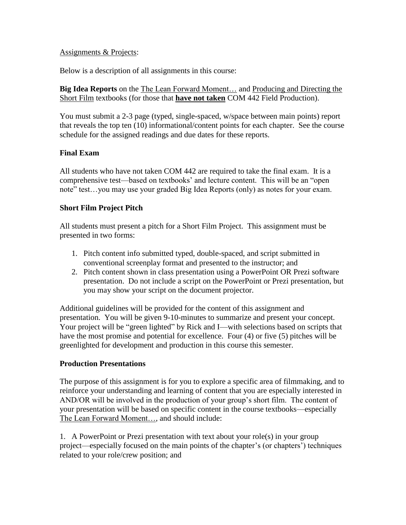#### Assignments & Projects:

Below is a description of all assignments in this course:

**Big Idea Reports** on the The Lean Forward Moment… and Producing and Directing the Short Film textbooks (for those that **have not taken** COM 442 Field Production).

You must submit a 2-3 page (typed, single-spaced, w/space between main points) report that reveals the top ten (10) informational/content points for each chapter. See the course schedule for the assigned readings and due dates for these reports.

# **Final Exam**

All students who have not taken COM 442 are required to take the final exam. It is a comprehensive test—based on textbooks' and lecture content. This will be an "open note" test…you may use your graded Big Idea Reports (only) as notes for your exam.

#### **Short Film Project Pitch**

All students must present a pitch for a Short Film Project. This assignment must be presented in two forms:

- 1. Pitch content info submitted typed, double-spaced, and script submitted in conventional screenplay format and presented to the instructor; and
- 2. Pitch content shown in class presentation using a PowerPoint OR Prezi software presentation. Do not include a script on the PowerPoint or Prezi presentation, but you may show your script on the document projector.

Additional guidelines will be provided for the content of this assignment and presentation. You will be given 9-10-minutes to summarize and present your concept. Your project will be "green lighted" by Rick and I—with selections based on scripts that have the most promise and potential for excellence. Four (4) or five (5) pitches will be greenlighted for development and production in this course this semester.

# **Production Presentations**

The purpose of this assignment is for you to explore a specific area of filmmaking, and to reinforce your understanding and learning of content that you are especially interested in AND/OR will be involved in the production of your group's short film. The content of your presentation will be based on specific content in the course textbooks—especially The Lean Forward Moment…, and should include:

1. A PowerPoint or Prezi presentation with text about your role(s) in your group project—especially focused on the main points of the chapter's (or chapters') techniques related to your role/crew position; and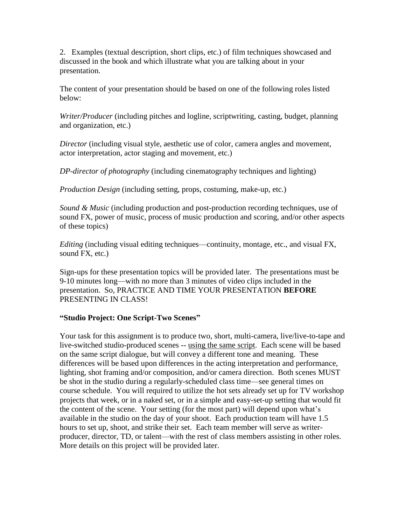2. Examples (textual description, short clips, etc.) of film techniques showcased and discussed in the book and which illustrate what you are talking about in your presentation.

The content of your presentation should be based on one of the following roles listed below:

*Writer/Producer* (including pitches and logline, scriptwriting, casting, budget, planning and organization, etc.)

*Director* (including visual style, aesthetic use of color, camera angles and movement, actor interpretation, actor staging and movement, etc.)

*DP-director of photography* (including cinematography techniques and lighting)

*Production Design* (including setting, props, costuming, make-up, etc.)

*Sound & Music* (including production and post-production recording techniques, use of sound FX, power of music, process of music production and scoring, and/or other aspects of these topics)

*Editing* (including visual editing techniques—continuity, montage, etc., and visual FX, sound FX, etc.)

Sign-ups for these presentation topics will be provided later. The presentations must be 9-10 minutes long—with no more than 3 minutes of video clips included in the presentation. So, PRACTICE AND TIME YOUR PRESENTATION **BEFORE** PRESENTING IN CLASS!

# **"Studio Project: One Script-Two Scenes"**

Your task for this assignment is to produce two, short, multi-camera, live/live-to-tape and live-switched studio-produced scenes -- using the same script. Each scene will be based on the same script dialogue, but will convey a different tone and meaning. These differences will be based upon differences in the acting interpretation and performance, lighting, shot framing and/or composition, and/or camera direction. Both scenes MUST be shot in the studio during a regularly-scheduled class time—see general times on course schedule. You will required to utilize the hot sets already set up for TV workshop projects that week, or in a naked set, or in a simple and easy-set-up setting that would fit the content of the scene. Your setting (for the most part) will depend upon what's available in the studio on the day of your shoot. Each production team will have 1.5 hours to set up, shoot, and strike their set. Each team member will serve as writerproducer, director, TD, or talent—with the rest of class members assisting in other roles. More details on this project will be provided later.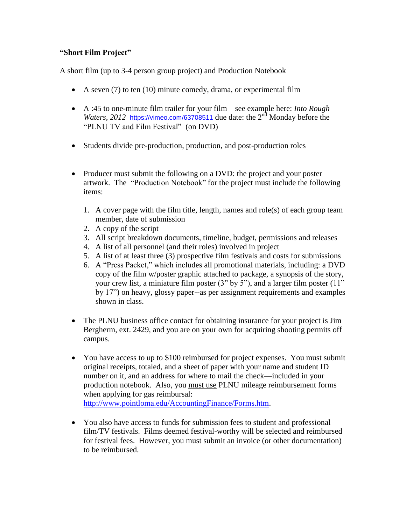# **"Short Film Project"**

A short film (up to 3-4 person group project) and Production Notebook

- A seven  $(7)$  to ten  $(10)$  minute comedy, drama, or experimental film
- A :45 to one-minute film trailer for your film—see example here: *Into Rough Waters, 2012* <https://vimeo.com/63708511> due date: the 2<sup>nd</sup> Monday before the "PLNU TV and Film Festival" (on DVD)
- Students divide pre-production, production, and post-production roles
- Producer must submit the following on a DVD: the project and your poster artwork. The "Production Notebook" for the project must include the following items:
	- 1. A cover page with the film title, length, names and role(s) of each group team member, date of submission
	- 2. A copy of the script
	- 3. All script breakdown documents, timeline, budget, permissions and releases
	- 4. A list of all personnel (and their roles) involved in project
	- 5. A list of at least three (3) prospective film festivals and costs for submissions
	- 6. A "Press Packet," which includes all promotional materials, including: a DVD copy of the film w/poster graphic attached to package, a synopsis of the story, your crew list, a miniature film poster (3" by 5"), and a larger film poster (11" by 17") on heavy, glossy paper--as per assignment requirements and examples shown in class.
- The PLNU business office contact for obtaining insurance for your project is Jim Bergherm, ext. 2429, and you are on your own for acquiring shooting permits off campus.
- You have access to up to \$100 reimbursed for project expenses. You must submit original receipts, totaled, and a sheet of paper with your name and student ID number on it, and an address for where to mail the check—included in your production notebook. Also, you must use PLNU mileage reimbursement forms when applying for gas reimbursal: [http://www.pointloma.edu/AccountingFinance/Forms.htm.](http://www.pointloma.edu/AccountingFinance/Forms.htm)
- You also have access to funds for submission fees to student and professional film/TV festivals. Films deemed festival-worthy will be selected and reimbursed for festival fees. However, you must submit an invoice (or other documentation) to be reimbursed.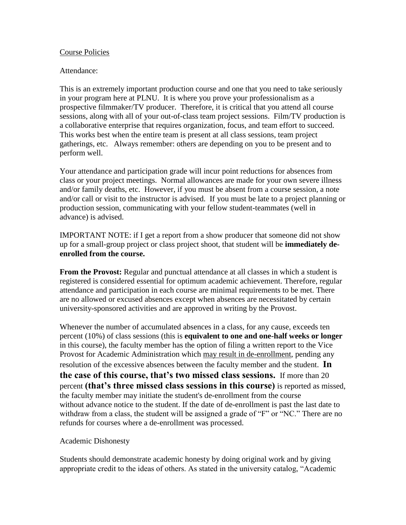#### Course Policies

#### Attendance:

This is an extremely important production course and one that you need to take seriously in your program here at PLNU. It is where you prove your professionalism as a prospective filmmaker/TV producer. Therefore, it is critical that you attend all course sessions, along with all of your out-of-class team project sessions. Film/TV production is a collaborative enterprise that requires organization, focus, and team effort to succeed. This works best when the entire team is present at all class sessions, team project gatherings, etc. Always remember: others are depending on you to be present and to perform well.

Your attendance and participation grade will incur point reductions for absences from class or your project meetings. Normal allowances are made for your own severe illness and/or family deaths, etc. However, if you must be absent from a course session, a note and/or call or visit to the instructor is advised. If you must be late to a project planning or production session, communicating with your fellow student-teammates (well in advance) is advised.

IMPORTANT NOTE: if I get a report from a show producer that someone did not show up for a small-group project or class project shoot, that student will be **immediately deenrolled from the course.** 

**From the Provost:** Regular and punctual attendance at all classes in which a student is registered is considered essential for optimum academic achievement. Therefore, regular attendance and participation in each course are minimal requirements to be met. There are no allowed or excused absences except when absences are necessitated by certain university-sponsored activities and are approved in writing by the Provost.

Whenever the number of accumulated absences in a class, for any cause, exceeds ten percent (10%) of class sessions (this is **equivalent to one and one-half weeks or longer**  in this course), the faculty member has the option of filing a written report to the Vice Provost for Academic Administration which may result in de-enrollment, pending any resolution of the excessive absences between the faculty member and the student. **In the case of this course, that's two missed class sessions.** If more than 20 percent **(that's three missed class sessions in this course)** is reported as missed, the faculty member may initiate the student's de-enrollment from the course without advance notice to the student. If the date of de-enrollment is past the last date to withdraw from a class, the student will be assigned a grade of "F" or "NC." There are no refunds for courses where a de-enrollment was processed.

#### Academic Dishonesty

Students should demonstrate academic honesty by doing original work and by giving appropriate credit to the ideas of others. As stated in the university catalog, "Academic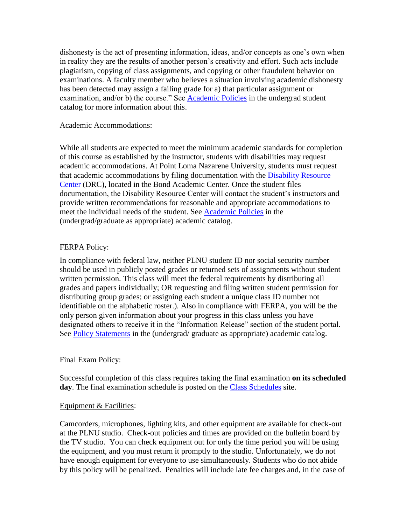dishonesty is the act of presenting information, ideas, and/or concepts as one's own when in reality they are the results of another person's creativity and effort. Such acts include plagiarism, copying of class assignments, and copying or other fraudulent behavior on examinations. A faculty member who believes a situation involving academic dishonesty has been detected may assign a failing grade for a) that particular assignment or examination, and/or b) the course." See [Academic Policies](http://www.pointloma.edu/experience/academics/catalogs/undergraduate-catalog/point-loma-education/academic-policies) in the undergrad student catalog for more information about this.

#### Academic Accommodations:

While all students are expected to meet the minimum academic standards for completion of this course as established by the instructor, students with disabilities may request academic accommodations. At Point Loma Nazarene University, students must request that academic accommodations by filing documentation with the [Disability Resource](http://www.pointloma.edu/experience/offices/administrative-offices/academic-advising-office/disability-resource-center)  [Center](http://www.pointloma.edu/experience/offices/administrative-offices/academic-advising-office/disability-resource-center) (DRC), located in the Bond Academic Center. Once the student files documentation, the Disability Resource Center will contact the student's instructors and provide written recommendations for reasonable and appropriate accommodations to meet the individual needs of the student. See [Academic Policies](http://www.pointloma.edu/experience/academics/catalogs/undergraduate-catalog/point-loma-education/academic-policies) in the (undergrad/graduate as appropriate) academic catalog.

#### FERPA Policy:

In compliance with federal law, neither PLNU student ID nor social security number should be used in publicly posted grades or returned sets of assignments without student written permission. This class will meet the federal requirements by distributing all grades and papers individually; OR requesting and filing written student permission for distributing group grades; or assigning each student a unique class ID number not identifiable on the alphabetic roster.). Also in compliance with FERPA, you will be the only person given information about your progress in this class unless you have designated others to receive it in the "Information Release" section of the student portal. See [Policy Statements](http://www.pointloma.edu/experience/academics/catalogs/undergraduate-catalog/policy-statements) in the (undergrad/ graduate as appropriate) academic catalog.

#### Final Exam Policy:

Successful completion of this class requires taking the final examination **on its scheduled day**. The final examination schedule is posted on the [Class Schedules](http://www.pointloma.edu/experience/academics/class-schedules) site.

#### Equipment & Facilities:

Camcorders, microphones, lighting kits, and other equipment are available for check-out at the PLNU studio. Check-out policies and times are provided on the bulletin board by the TV studio. You can check equipment out for only the time period you will be using the equipment, and you must return it promptly to the studio. Unfortunately, we do not have enough equipment for everyone to use simultaneously. Students who do not abide by this policy will be penalized. Penalties will include late fee charges and, in the case of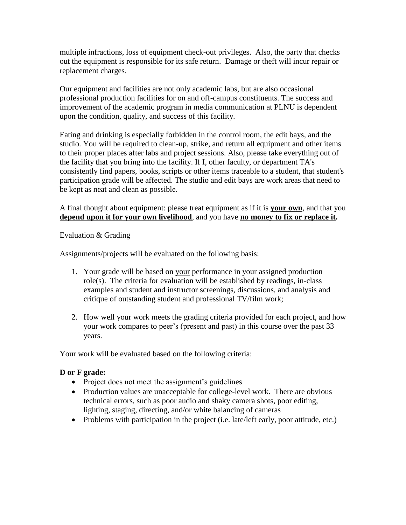multiple infractions, loss of equipment check-out privileges. Also, the party that checks out the equipment is responsible for its safe return. Damage or theft will incur repair or replacement charges.

Our equipment and facilities are not only academic labs, but are also occasional professional production facilities for on and off-campus constituents. The success and improvement of the academic program in media communication at PLNU is dependent upon the condition, quality, and success of this facility.

Eating and drinking is especially forbidden in the control room, the edit bays, and the studio. You will be required to clean-up, strike, and return all equipment and other items to their proper places after labs and project sessions. Also, please take everything out of the facility that you bring into the facility. If I, other faculty, or department TA's consistently find papers, books, scripts or other items traceable to a student, that student's participation grade will be affected. The studio and edit bays are work areas that need to be kept as neat and clean as possible.

A final thought about equipment: please treat equipment as if it is **your own**, and that you **depend upon it for your own livelihood**, and you have **no money to fix or replace it.**

#### Evaluation & Grading

Assignments/projects will be evaluated on the following basis:

- 1. Your grade will be based on your performance in your assigned production role(s). The criteria for evaluation will be established by readings, in-class examples and student and instructor screenings, discussions, and analysis and critique of outstanding student and professional TV/film work;
- 2. How well your work meets the grading criteria provided for each project, and how your work compares to peer's (present and past) in this course over the past 33 years.

Your work will be evaluated based on the following criteria:

# **D or F grade:**

- Project does not meet the assignment's guidelines
- Production values are unacceptable for college-level work. There are obvious technical errors, such as poor audio and shaky camera shots, poor editing, lighting, staging, directing, and/or white balancing of cameras
- Problems with participation in the project (i.e. late/left early, poor attitude, etc.)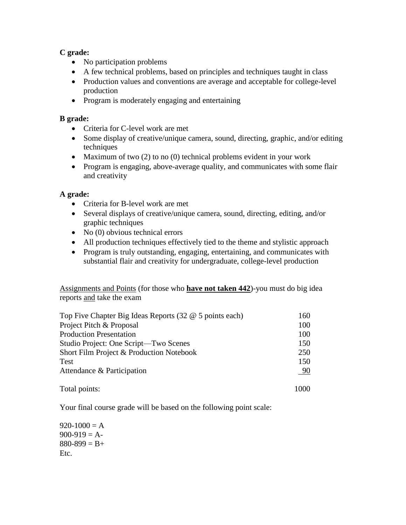# **C grade:**

- No participation problems
- A few technical problems, based on principles and techniques taught in class
- Production values and conventions are average and acceptable for college-level production
- Program is moderately engaging and entertaining

# **B grade:**

- Criteria for C-level work are met
- Some display of creative/unique camera, sound, directing, graphic, and/or editing techniques
- Maximum of two (2) to no (0) technical problems evident in your work
- Program is engaging, above-average quality, and communicates with some flair and creativity

# **A grade:**

- Criteria for B-level work are met
- Several displays of creative/unique camera, sound, directing, editing, and/or graphic techniques
- $\bullet$  No (0) obvious technical errors
- All production techniques effectively tied to the theme and stylistic approach
- Program is truly outstanding, engaging, entertaining, and communicates with substantial flair and creativity for undergraduate, college-level production

Assignments and Points (for those who **have not taken 442**)-you must do big idea reports and take the exam

| Top Five Chapter Big Ideas Reports (32 @ 5 points each) | 160       |  |
|---------------------------------------------------------|-----------|--|
| Project Pitch & Proposal                                | 100       |  |
| <b>Production Presentation</b>                          | 100       |  |
| Studio Project: One Script—Two Scenes                   | 150       |  |
| Short Film Project & Production Notebook                | 250       |  |
| <b>Test</b>                                             | 150       |  |
| Attendance & Participation                              | <u>90</u> |  |
| Total points:                                           | 1000      |  |

Your final course grade will be based on the following point scale:

 $920-1000 = A$  $900-919 = A$  $880-899 = B +$ Etc.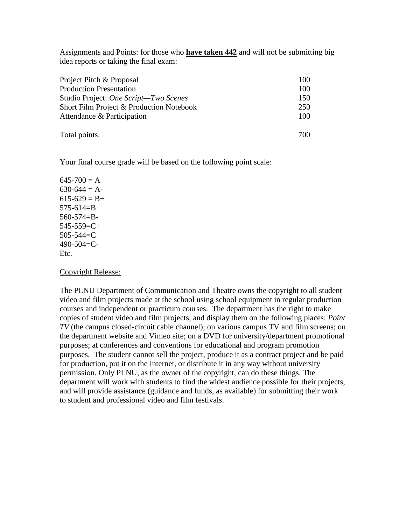Assignments and Points: for those who **have taken 442** and will not be submitting big idea reports or taking the final exam:

| Project Pitch & Proposal                 | 100 |
|------------------------------------------|-----|
| <b>Production Presentation</b>           | 100 |
| Studio Project: One Script-Two Scenes    | 150 |
| Short Film Project & Production Notebook | 250 |
| Attendance & Participation               | 100 |
| Total points:                            | 700 |

Your final course grade will be based on the following point scale:

#### $645 - 700 = A$  $630-644 = A$  $615-629 = B+$ 575-614=B 560-574=B- $545-559=C+$  $505 - 544 = C$ 490-504=C-Etc.

#### Copyright Release:

The PLNU Department of Communication and Theatre owns the copyright to all student video and film projects made at the school using school equipment in regular production courses and independent or practicum courses. The department has the right to make copies of student video and film projects, and display them on the following places: *Point TV* (the campus closed-circuit cable channel); on various campus TV and film screens; on the department website and Vimeo site; on a DVD for university/department promotional purposes; at conferences and conventions for educational and program promotion purposes. The student cannot sell the project, produce it as a contract project and be paid for production, put it on the Internet, or distribute it in any way without university permission. Only PLNU, as the owner of the copyright, can do these things. The department will work with students to find the widest audience possible for their projects, and will provide assistance (guidance and funds, as available) for submitting their work to student and professional video and film festivals.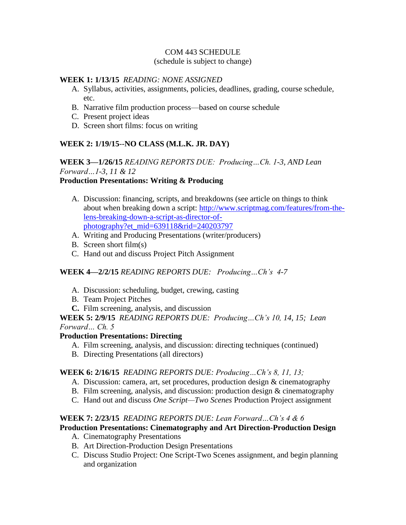#### COM 443 SCHEDULE

(schedule is subject to change)

#### **WEEK 1: 1/13/15** *READING: NONE ASSIGNED*

- A. Syllabus, activities, assignments, policies, deadlines, grading, course schedule, etc.
- B. Narrative film production process—based on course schedule
- C. Present project ideas
- D. Screen short films: focus on writing

# **WEEK 2: 1/19/15**--**NO CLASS (M.L.K. JR. DAY)**

# **WEEK 3—1/26/15** *READING REPORTS DUE: Producing…Ch. 1-3, AND Lean Forward…1-3, 11 & 12*

# **Production Presentations: Writing & Producing**

- A. Discussion: financing, scripts, and breakdowns (see article on things to think about when breaking down a script: [http://www.scriptmag.com/features/from-the](http://www.scriptmag.com/features/from-the-lens-breaking-down-a-script-as-director-of-photography?et_mid=639118&rid=240203797)[lens-breaking-down-a-script-as-director-of](http://www.scriptmag.com/features/from-the-lens-breaking-down-a-script-as-director-of-photography?et_mid=639118&rid=240203797)[photography?et\\_mid=639118&rid=240203797](http://www.scriptmag.com/features/from-the-lens-breaking-down-a-script-as-director-of-photography?et_mid=639118&rid=240203797)
- A. Writing and Producing Presentations (writer/producers)
- B. Screen short film(s)
- C. Hand out and discuss Project Pitch Assignment

# **WEEK 4—2/2/15** *READING REPORTS DUE: Producing…Ch's 4-7*

- A. Discussion: scheduling, budget, crewing, casting
- B. Team Project Pitches
- **C.** Film screening, analysis, and discussion

**WEEK 5: 2/9/15** *READING REPORTS DUE: Producing…Ch's 10, 14, 15; Lean Forward… Ch. 5*

# **Production Presentations: Directing**

- A. Film screening, analysis, and discussion: directing techniques (continued)
- B. Directing Presentations (all directors)

# **WEEK 6: 2/16/15** *READING REPORTS DUE: Producing…Ch's 8, 11, 13;*

- A. Discussion: camera, art, set procedures, production design & cinematography
- B. Film screening, analysis, and discussion: production design & cinematography
- C. Hand out and discuss *One Script—Two Scenes* Production Project assignment

# **WEEK 7: 2/23/15** *READING REPORTS DUE: Lean Forward…Ch's 4 & 6*

# **Production Presentations: Cinematography and Art Direction-Production Design**

- A. Cinematography Presentations
- B. Art Direction-Production Design Presentations
- C. Discuss Studio Project: One Script-Two Scenes assignment, and begin planning and organization